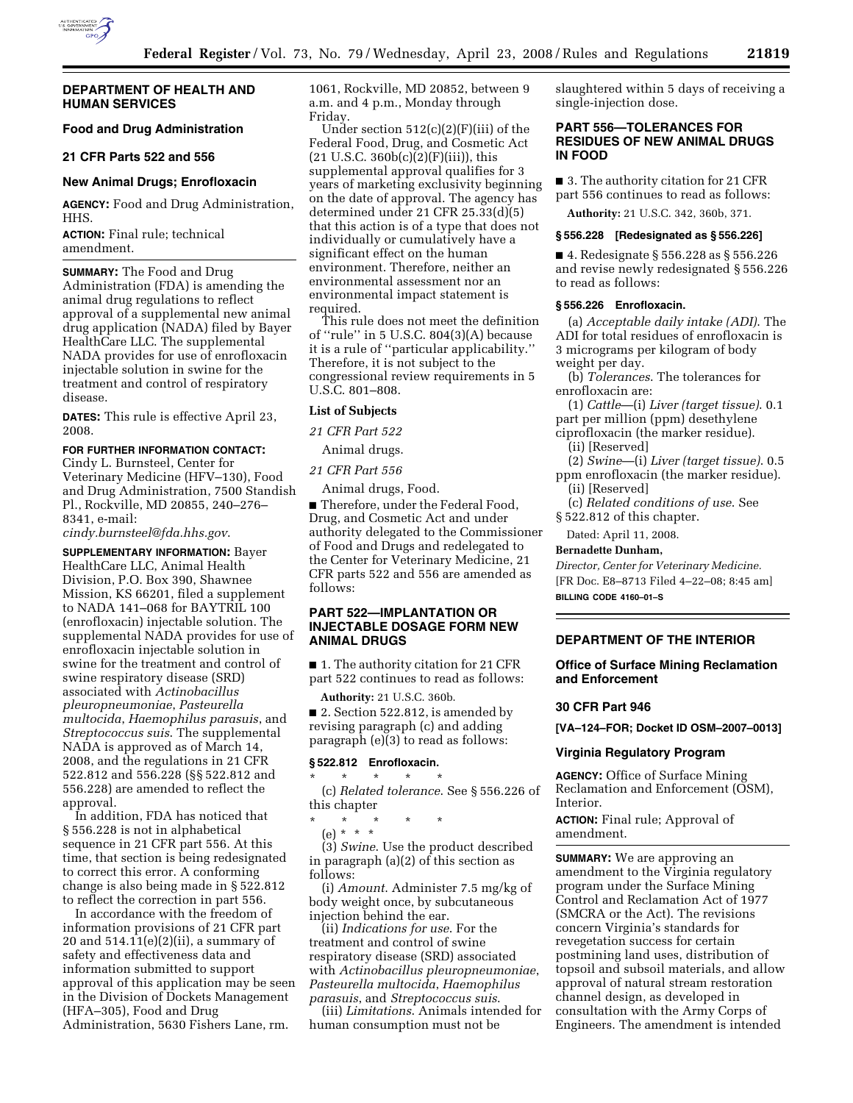

## **DEPARTMENT OF HEALTH AND HUMAN SERVICES**

# **Food and Drug Administration**

### **21 CFR Parts 522 and 556**

### **New Animal Drugs; Enrofloxacin**

**AGENCY:** Food and Drug Administration, HHS.

**ACTION:** Final rule; technical amendment.

**SUMMARY:** The Food and Drug Administration (FDA) is amending the animal drug regulations to reflect approval of a supplemental new animal drug application (NADA) filed by Bayer HealthCare LLC. The supplemental NADA provides for use of enrofloxacin injectable solution in swine for the treatment and control of respiratory disease.

**DATES:** This rule is effective April 23, 2008.

#### **FOR FURTHER INFORMATION CONTACT:**

Cindy L. Burnsteel, Center for Veterinary Medicine (HFV–130), Food and Drug Administration, 7500 Standish Pl., Rockville, MD 20855, 240–276– 8341, e-mail:

*cindy.burnsteel@fda.hhs.gov*.

**SUPPLEMENTARY INFORMATION:** Bayer HealthCare LLC, Animal Health Division, P.O. Box 390, Shawnee Mission, KS 66201, filed a supplement to NADA 141–068 for BAYTRIL 100 (enrofloxacin) injectable solution. The supplemental NADA provides for use of enrofloxacin injectable solution in swine for the treatment and control of swine respiratory disease (SRD) associated with *Actinobacillus pleuropneumoniae*, *Pasteurella multocida*, *Haemophilus parasuis*, and *Streptococcus suis*. The supplemental NADA is approved as of March 14, 2008, and the regulations in 21 CFR 522.812 and 556.228 (§§ 522.812 and 556.228) are amended to reflect the approval.

In addition, FDA has noticed that § 556.228 is not in alphabetical sequence in 21 CFR part 556. At this time, that section is being redesignated to correct this error. A conforming change is also being made in § 522.812 to reflect the correction in part 556.

In accordance with the freedom of information provisions of 21 CFR part 20 and  $514.11(e)(2)(ii)$ , a summary of safety and effectiveness data and information submitted to support approval of this application may be seen in the Division of Dockets Management (HFA–305), Food and Drug Administration, 5630 Fishers Lane, rm.

1061, Rockville, MD 20852, between 9 a.m. and 4 p.m., Monday through Friday.

Under section  $512(c)(2)(F)(iii)$  of the Federal Food, Drug, and Cosmetic Act  $(21 \text{ U.S.C. } 360b(c)(2)(F)(iii))$ , this supplemental approval qualifies for 3 years of marketing exclusivity beginning on the date of approval. The agency has determined under 21 CFR 25.33(d)(5) that this action is of a type that does not individually or cumulatively have a significant effect on the human environment. Therefore, neither an environmental assessment nor an environmental impact statement is required.

This rule does not meet the definition of ''rule'' in 5 U.S.C. 804(3)(A) because it is a rule of ''particular applicability.'' Therefore, it is not subject to the congressional review requirements in 5 U.S.C. 801–808.

#### **List of Subjects**

*21 CFR Part 522* 

Animal drugs.

*21 CFR Part 556* 

Animal drugs, Food.

■ Therefore, under the Federal Food, Drug, and Cosmetic Act and under authority delegated to the Commissioner of Food and Drugs and redelegated to the Center for Veterinary Medicine, 21 CFR parts 522 and 556 are amended as follows:

## **PART 522—IMPLANTATION OR INJECTABLE DOSAGE FORM NEW ANIMAL DRUGS**

■ 1. The authority citation for 21 CFR part 522 continues to read as follows:

**Authority:** 21 U.S.C. 360b.

■ 2. Section 522.812, is amended by revising paragraph (c) and adding paragraph (e)(3) to read as follows:

# **§ 522.812 Enrofloxacin.**

\* \* \* \* \* (c) *Related tolerance*. See § 556.226 of this chapter

\* \* \* \* \*

(e) \* \* \* (3) *Swine*. Use the product described

in paragraph (a)(2) of this section as follows:

(i) *Amount*. Administer 7.5 mg/kg of body weight once, by subcutaneous injection behind the ear.

(ii) *Indications for use*. For the treatment and control of swine respiratory disease (SRD) associated with *Actinobacillus pleuropneumoniae*, *Pasteurella multocida*, *Haemophilus parasuis*, and *Streptococcus suis*.

(iii) *Limitations*. Animals intended for human consumption must not be

slaughtered within 5 days of receiving a single-injection dose.

## **PART 556—TOLERANCES FOR RESIDUES OF NEW ANIMAL DRUGS IN FOOD**

■ 3. The authority citation for 21 CFR part 556 continues to read as follows:

**Authority:** 21 U.S.C. 342, 360b, 371.

### **§ 556.228 [Redesignated as § 556.226]**

■ 4. Redesignate § 556.228 as § 556.226 and revise newly redesignated § 556.226 to read as follows:

#### **§ 556.226 Enrofloxacin.**

(a) *Acceptable daily intake (ADI)*. The ADI for total residues of enrofloxacin is 3 micrograms per kilogram of body weight per day.

(b) *Tolerances*. The tolerances for enrofloxacin are:

(1) *Cattle*—(i) *Liver (target tissue)*. 0.1 part per million (ppm) desethylene

ciprofloxacin (the marker residue).

(ii) [Reserved]

(2) *Swine*—(i) *Liver (target tissue)*. 0.5 ppm enrofloxacin (the marker residue).

(ii) [Reserved] (c) *Related conditions of use*. See

§ 522.812 of this chapter.

Dated: April 11, 2008.

## **Bernadette Dunham,**

*Director, Center for Veterinary Medicine.*  [FR Doc. E8–8713 Filed 4–22–08; 8:45 am] **BILLING CODE 4160–01–S** 

### **DEPARTMENT OF THE INTERIOR**

### **Office of Surface Mining Reclamation and Enforcement**

### **30 CFR Part 946**

**[VA–124–FOR; Docket ID OSM–2007–0013]** 

### **Virginia Regulatory Program**

**AGENCY:** Office of Surface Mining Reclamation and Enforcement (OSM), Interior.

**ACTION:** Final rule; Approval of amendment.

**SUMMARY:** We are approving an amendment to the Virginia regulatory program under the Surface Mining Control and Reclamation Act of 1977 (SMCRA or the Act). The revisions concern Virginia's standards for revegetation success for certain postmining land uses, distribution of topsoil and subsoil materials, and allow approval of natural stream restoration channel design, as developed in consultation with the Army Corps of Engineers. The amendment is intended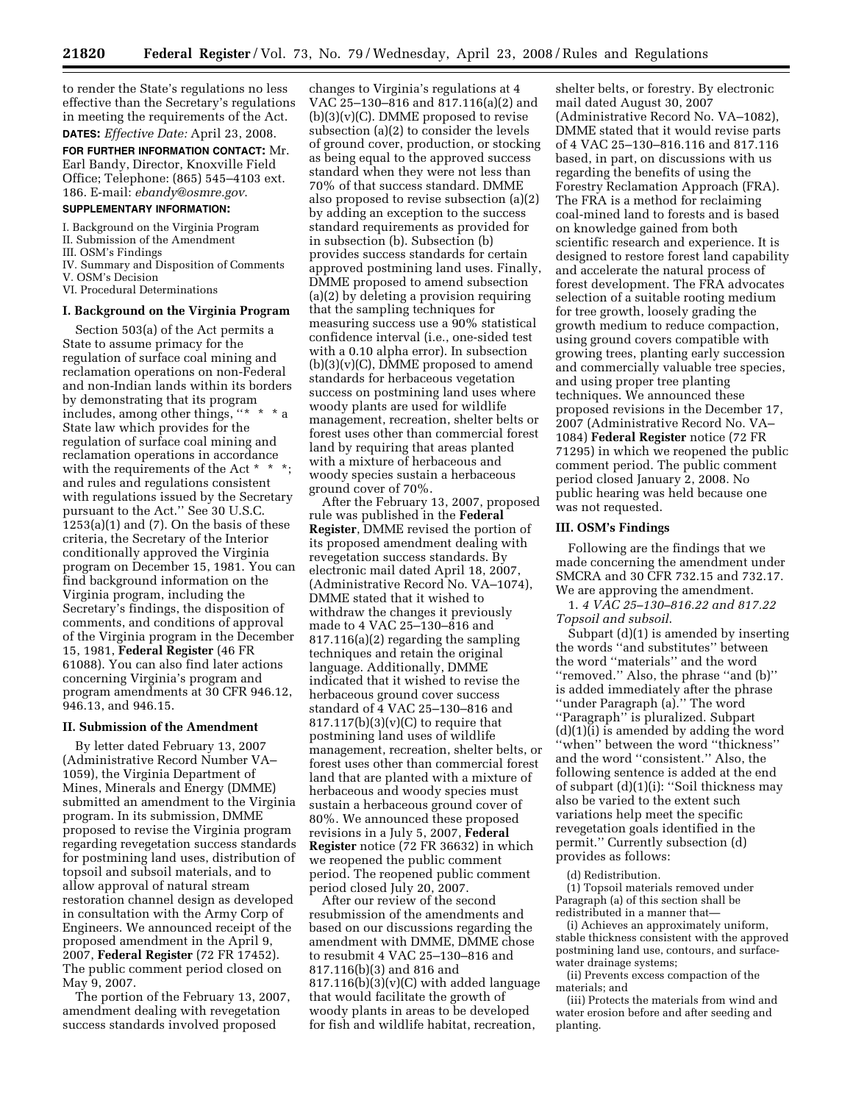to render the State's regulations no less effective than the Secretary's regulations in meeting the requirements of the Act.

**DATES:** *Effective Date:* April 23, 2008. **FOR FURTHER INFORMATION CONTACT:** Mr. Earl Bandy, Director, Knoxville Field Office; Telephone: (865) 545–4103 ext. 186. E-mail: *ebandy@osmre.gov*.

## **SUPPLEMENTARY INFORMATION:**

I. Background on the Virginia Program

- II. Submission of the Amendment
- III. OSM's Findings
- IV. Summary and Disposition of Comments V. OSM's Decision
- VI. Procedural Determinations

#### **I. Background on the Virginia Program**

Section 503(a) of the Act permits a State to assume primacy for the regulation of surface coal mining and reclamation operations on non-Federal and non-Indian lands within its borders by demonstrating that its program includes, among other things,  $"$  \* \* State law which provides for the regulation of surface coal mining and reclamation operations in accordance with the requirements of the Act  $*$   $*$ and rules and regulations consistent with regulations issued by the Secretary pursuant to the Act.'' See 30 U.S.C.  $1253(a)(1)$  and  $(7)$ . On the basis of these criteria, the Secretary of the Interior conditionally approved the Virginia program on December 15, 1981. You can find background information on the Virginia program, including the Secretary's findings, the disposition of comments, and conditions of approval of the Virginia program in the December 15, 1981, **Federal Register** (46 FR 61088). You can also find later actions concerning Virginia's program and program amendments at 30 CFR 946.12, 946.13, and 946.15.

### **II. Submission of the Amendment**

By letter dated February 13, 2007 (Administrative Record Number VA– 1059), the Virginia Department of Mines, Minerals and Energy (DMME) submitted an amendment to the Virginia program. In its submission, DMME proposed to revise the Virginia program regarding revegetation success standards for postmining land uses, distribution of topsoil and subsoil materials, and to allow approval of natural stream restoration channel design as developed in consultation with the Army Corp of Engineers. We announced receipt of the proposed amendment in the April 9, 2007, **Federal Register** (72 FR 17452). The public comment period closed on May 9, 2007.

The portion of the February 13, 2007, amendment dealing with revegetation success standards involved proposed

changes to Virginia's regulations at 4 VAC 25–130–816 and 817.116(a)(2) and  $(b)(3)(v)(C)$ . DMME proposed to revise subsection (a)(2) to consider the levels of ground cover, production, or stocking as being equal to the approved success standard when they were not less than 70% of that success standard. DMME also proposed to revise subsection (a)(2) by adding an exception to the success standard requirements as provided for in subsection (b). Subsection (b) provides success standards for certain approved postmining land uses. Finally, DMME proposed to amend subsection (a)(2) by deleting a provision requiring that the sampling techniques for measuring success use a 90% statistical confidence interval (i.e., one-sided test with a 0.10 alpha error). In subsection  $(b)(3)(v)(C)$ , DMME proposed to amend standards for herbaceous vegetation success on postmining land uses where woody plants are used for wildlife management, recreation, shelter belts or forest uses other than commercial forest land by requiring that areas planted with a mixture of herbaceous and woody species sustain a herbaceous ground cover of 70%.

After the February 13, 2007, proposed rule was published in the **Federal Register**, DMME revised the portion of its proposed amendment dealing with revegetation success standards. By electronic mail dated April 18, 2007, (Administrative Record No. VA–1074), DMME stated that it wished to withdraw the changes it previously made to 4 VAC 25–130–816 and 817.116(a)(2) regarding the sampling techniques and retain the original language. Additionally, DMME indicated that it wished to revise the herbaceous ground cover success standard of 4 VAC 25–130–816 and  $817.117(b)(3)(v)(C)$  to require that postmining land uses of wildlife management, recreation, shelter belts, or forest uses other than commercial forest land that are planted with a mixture of herbaceous and woody species must sustain a herbaceous ground cover of 80%. We announced these proposed revisions in a July 5, 2007, **Federal Register** notice (72 FR 36632) in which we reopened the public comment period. The reopened public comment period closed July 20, 2007.

After our review of the second resubmission of the amendments and based on our discussions regarding the amendment with DMME, DMME chose to resubmit 4 VAC 25–130–816 and 817.116(b)(3) and 816 and  $817.116(b)(3)(v)(C)$  with added language that would facilitate the growth of woody plants in areas to be developed for fish and wildlife habitat, recreation,

shelter belts, or forestry. By electronic mail dated August 30, 2007 (Administrative Record No. VA–1082), DMME stated that it would revise parts of 4 VAC 25–130–816.116 and 817.116 based, in part, on discussions with us regarding the benefits of using the Forestry Reclamation Approach (FRA). The FRA is a method for reclaiming coal-mined land to forests and is based on knowledge gained from both scientific research and experience. It is designed to restore forest land capability and accelerate the natural process of forest development. The FRA advocates selection of a suitable rooting medium for tree growth, loosely grading the growth medium to reduce compaction, using ground covers compatible with growing trees, planting early succession and commercially valuable tree species, and using proper tree planting techniques. We announced these proposed revisions in the December 17, 2007 (Administrative Record No. VA– 1084) **Federal Register** notice (72 FR 71295) in which we reopened the public comment period. The public comment period closed January 2, 2008. No public hearing was held because one was not requested.

#### **III. OSM's Findings**

Following are the findings that we made concerning the amendment under SMCRA and 30 CFR 732.15 and 732.17. We are approving the amendment.

1. *4 VAC 25–130–816.22 and 817.22 Topsoil and subsoil*.

Subpart (d)(1) is amended by inserting the words ''and substitutes'' between the word ''materials'' and the word ''removed.'' Also, the phrase ''and (b)'' is added immediately after the phrase ''under Paragraph (a).'' The word ''Paragraph'' is pluralized. Subpart  $(d)(1)(i)$  is amended by adding the word ''when'' between the word ''thickness'' and the word ''consistent.'' Also, the following sentence is added at the end of subpart (d)(1)(i): "Soil thickness may also be varied to the extent such variations help meet the specific revegetation goals identified in the permit.'' Currently subsection (d) provides as follows:

(d) Redistribution.

(1) Topsoil materials removed under Paragraph (a) of this section shall be redistributed in a manner that—

(i) Achieves an approximately uniform, stable thickness consistent with the approved postmining land use, contours, and surfacewater drainage systems;

(ii) Prevents excess compaction of the materials; and

(iii) Protects the materials from wind and water erosion before and after seeding and planting.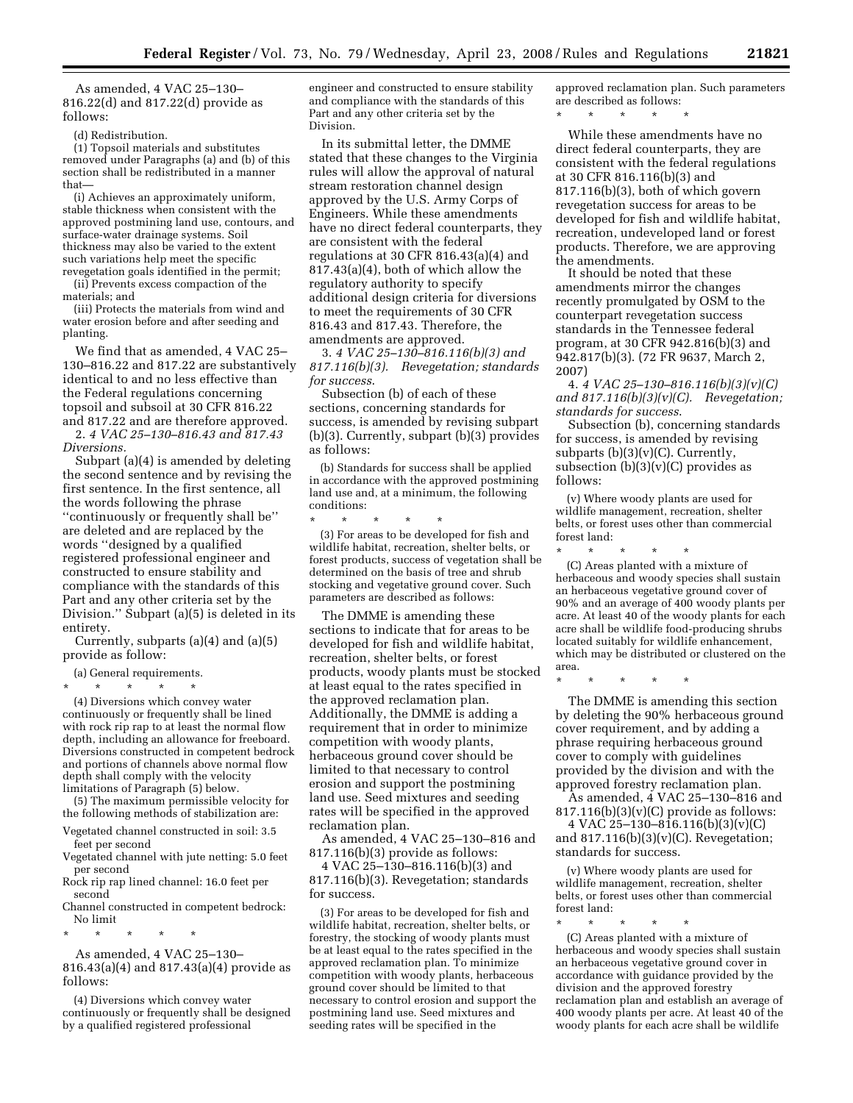As amended, 4 VAC 25–130– 816.22(d) and 817.22(d) provide as follows:

(d) Redistribution.

(1) Topsoil materials and substitutes removed under Paragraphs (a) and (b) of this section shall be redistributed in a manner that—

(i) Achieves an approximately uniform, stable thickness when consistent with the approved postmining land use, contours, and surface-water drainage systems. Soil thickness may also be varied to the extent such variations help meet the specific revegetation goals identified in the permit;

(ii) Prevents excess compaction of the materials; and

(iii) Protects the materials from wind and water erosion before and after seeding and planting.

We find that as amended, 4 VAC 25– 130–816.22 and 817.22 are substantively identical to and no less effective than the Federal regulations concerning topsoil and subsoil at 30 CFR 816.22 and 817.22 and are therefore approved.

2. *4 VAC 25–130–816.43 and 817.43 Diversions.* 

Subpart (a)(4) is amended by deleting the second sentence and by revising the first sentence. In the first sentence, all the words following the phrase ''continuously or frequently shall be'' are deleted and are replaced by the words ''designed by a qualified registered professional engineer and constructed to ensure stability and compliance with the standards of this Part and any other criteria set by the Division.'' Subpart (a)(5) is deleted in its entirety.

Currently, subparts (a)(4) and (a)(5) provide as follow:

(a) General requirements.

\* \* \* \* \*

(4) Diversions which convey water continuously or frequently shall be lined with rock rip rap to at least the normal flow depth, including an allowance for freeboard. Diversions constructed in competent bedrock and portions of channels above normal flow depth shall comply with the velocity limitations of Paragraph (5) below.

(5) The maximum permissible velocity for the following methods of stabilization are:

Vegetated channel constructed in soil: 3.5 feet per second

Vegetated channel with jute netting: 5.0 feet per second

Rock rip rap lined channel: 16.0 feet per second

Channel constructed in competent bedrock: No limit

\* \* \* \* \*

As amended, 4 VAC 25–130– 816.43(a)(4) and 817.43(a)(4) provide as follows:

(4) Diversions which convey water continuously or frequently shall be designed by a qualified registered professional

engineer and constructed to ensure stability and compliance with the standards of this Part and any other criteria set by the Division.

In its submittal letter, the DMME stated that these changes to the Virginia rules will allow the approval of natural stream restoration channel design approved by the U.S. Army Corps of Engineers. While these amendments have no direct federal counterparts, they are consistent with the federal regulations at 30 CFR 816.43(a)(4) and 817.43(a)(4), both of which allow the regulatory authority to specify additional design criteria for diversions to meet the requirements of 30 CFR 816.43 and 817.43. Therefore, the amendments are approved.

3. *4 VAC 25–130–816.116(b)(3) and 817.116(b)(3). Revegetation; standards for success*.

Subsection (b) of each of these sections, concerning standards for success, is amended by revising subpart (b)(3). Currently, subpart (b)(3) provides as follows:

(b) Standards for success shall be applied in accordance with the approved postmining land use and, at a minimum, the following conditions:

\* \* \* \* \* (3) For areas to be developed for fish and wildlife habitat, recreation, shelter belts, or forest products, success of vegetation shall be determined on the basis of tree and shrub stocking and vegetative ground cover. Such parameters are described as follows:

The DMME is amending these sections to indicate that for areas to be developed for fish and wildlife habitat, recreation, shelter belts, or forest products, woody plants must be stocked at least equal to the rates specified in the approved reclamation plan. Additionally, the DMME is adding a requirement that in order to minimize competition with woody plants, herbaceous ground cover should be limited to that necessary to control erosion and support the postmining land use. Seed mixtures and seeding rates will be specified in the approved reclamation plan.

As amended, 4 VAC 25–130–816 and 817.116(b)(3) provide as follows:

4 VAC 25–130–816.116(b)(3) and 817.116(b)(3). Revegetation; standards for success.

(3) For areas to be developed for fish and wildlife habitat, recreation, shelter belts, or forestry, the stocking of woody plants must be at least equal to the rates specified in the approved reclamation plan. To minimize competition with woody plants, herbaceous ground cover should be limited to that necessary to control erosion and support the postmining land use. Seed mixtures and seeding rates will be specified in the

approved reclamation plan. Such parameters are described as follows:

\* \* \* \* \*

While these amendments have no direct federal counterparts, they are consistent with the federal regulations at 30 CFR 816.116(b)(3) and 817.116(b)(3), both of which govern revegetation success for areas to be developed for fish and wildlife habitat, recreation, undeveloped land or forest products. Therefore, we are approving the amendments.

It should be noted that these amendments mirror the changes recently promulgated by OSM to the counterpart revegetation success standards in the Tennessee federal program, at 30 CFR 942.816(b)(3) and 942.817(b)(3). (72 FR 9637, March 2, 2007)

4. *4 VAC 25–130–816.116(b)(3)(v)(C) and 817.116(b)(3)(v)(C). Revegetation; standards for success*.

Subsection (b), concerning standards for success, is amended by revising subparts  $(b)(3)(v)(C)$ . Currently, subsection  $(b)(3)(v)(C)$  provides as follows:

(v) Where woody plants are used for wildlife management, recreation, shelter belts, or forest uses other than commercial forest land:

\* \* \* \* \* (C) Areas planted with a mixture of herbaceous and woody species shall sustain an herbaceous vegetative ground cover of 90% and an average of 400 woody plants per acre. At least 40 of the woody plants for each acre shall be wildlife food-producing shrubs located suitably for wildlife enhancement, which may be distributed or clustered on the area.

\* \* \* \* \*

The DMME is amending this section by deleting the 90% herbaceous ground cover requirement, and by adding a phrase requiring herbaceous ground cover to comply with guidelines provided by the division and with the approved forestry reclamation plan.

As amended, 4 VAC 25–130–816 and  $817.116(b)(3)(v)(C)$  provide as follows: 4 VAC 25–130–816.116(b)(3)(v)(C)

and  $817.116(b)(3)(v)(C)$ . Revegetation; standards for success.

(v) Where woody plants are used for wildlife management, recreation, shelter belts, or forest uses other than commercial forest land:

\* \* \* \* \* (C) Areas planted with a mixture of herbaceous and woody species shall sustain an herbaceous vegetative ground cover in accordance with guidance provided by the division and the approved forestry reclamation plan and establish an average of 400 woody plants per acre. At least 40 of the woody plants for each acre shall be wildlife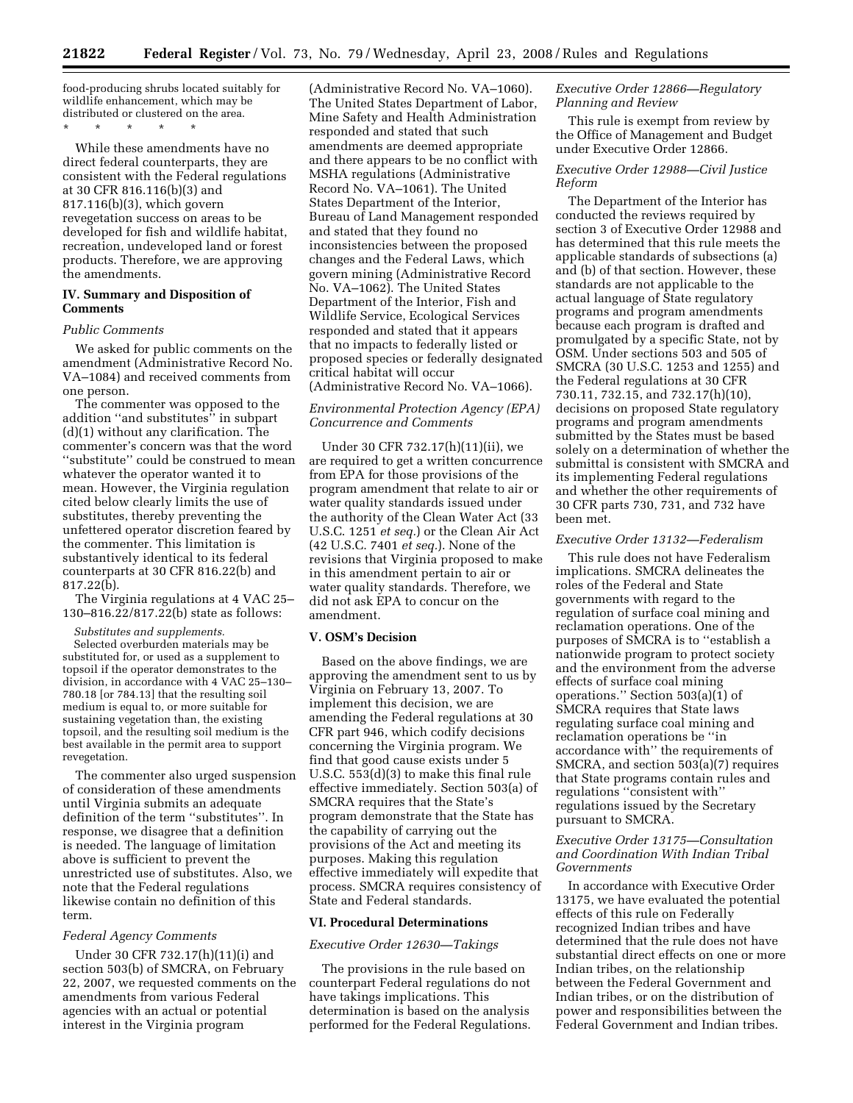food-producing shrubs located suitably for wildlife enhancement, which may be distributed or clustered on the area.

\* \* \* \* \*

While these amendments have no direct federal counterparts, they are consistent with the Federal regulations at 30 CFR 816.116(b)(3) and 817.116(b)(3), which govern revegetation success on areas to be developed for fish and wildlife habitat, recreation, undeveloped land or forest products. Therefore, we are approving the amendments.

## **IV. Summary and Disposition of Comments**

#### *Public Comments*

We asked for public comments on the amendment (Administrative Record No. VA–1084) and received comments from one person.

The commenter was opposed to the addition ''and substitutes'' in subpart (d)(1) without any clarification. The commenter's concern was that the word ''substitute'' could be construed to mean whatever the operator wanted it to mean. However, the Virginia regulation cited below clearly limits the use of substitutes, thereby preventing the unfettered operator discretion feared by the commenter. This limitation is substantively identical to its federal counterparts at 30 CFR 816.22(b) and 817.22(b).

The Virginia regulations at 4 VAC 25– 130–816.22/817.22(b) state as follows:

*Substitutes and supplements.* 

Selected overburden materials may be substituted for, or used as a supplement to topsoil if the operator demonstrates to the division, in accordance with 4 VAC 25–130– 780.18 [or 784.13] that the resulting soil medium is equal to, or more suitable for sustaining vegetation than, the existing topsoil, and the resulting soil medium is the best available in the permit area to support revegetation.

The commenter also urged suspension of consideration of these amendments until Virginia submits an adequate definition of the term ''substitutes''. In response, we disagree that a definition is needed. The language of limitation above is sufficient to prevent the unrestricted use of substitutes. Also, we note that the Federal regulations likewise contain no definition of this term.

#### *Federal Agency Comments*

Under 30 CFR 732.17(h)(11)(i) and section 503(b) of SMCRA, on February 22, 2007, we requested comments on the amendments from various Federal agencies with an actual or potential interest in the Virginia program

(Administrative Record No. VA–1060). The United States Department of Labor, Mine Safety and Health Administration responded and stated that such amendments are deemed appropriate and there appears to be no conflict with MSHA regulations (Administrative Record No. VA–1061). The United States Department of the Interior, Bureau of Land Management responded and stated that they found no inconsistencies between the proposed changes and the Federal Laws, which govern mining (Administrative Record No. VA–1062). The United States Department of the Interior, Fish and Wildlife Service, Ecological Services responded and stated that it appears that no impacts to federally listed or proposed species or federally designated critical habitat will occur (Administrative Record No. VA–1066).

### *Environmental Protection Agency (EPA) Concurrence and Comments*

Under 30 CFR 732.17(h)(11)(ii), we are required to get a written concurrence from EPA for those provisions of the program amendment that relate to air or water quality standards issued under the authority of the Clean Water Act (33 U.S.C. 1251 *et seq.*) or the Clean Air Act (42 U.S.C. 7401 *et seq.*). None of the revisions that Virginia proposed to make in this amendment pertain to air or water quality standards. Therefore, we did not ask EPA to concur on the amendment.

#### **V. OSM's Decision**

Based on the above findings, we are approving the amendment sent to us by Virginia on February 13, 2007. To implement this decision, we are amending the Federal regulations at 30 CFR part 946, which codify decisions concerning the Virginia program. We find that good cause exists under 5 U.S.C. 553(d)(3) to make this final rule effective immediately. Section 503(a) of SMCRA requires that the State's program demonstrate that the State has the capability of carrying out the provisions of the Act and meeting its purposes. Making this regulation effective immediately will expedite that process. SMCRA requires consistency of State and Federal standards.

#### **VI. Procedural Determinations**

#### *Executive Order 12630—Takings*

The provisions in the rule based on counterpart Federal regulations do not have takings implications. This determination is based on the analysis performed for the Federal Regulations.

## *Executive Order 12866—Regulatory Planning and Review*

This rule is exempt from review by the Office of Management and Budget under Executive Order 12866.

## *Executive Order 12988—Civil Justice Reform*

The Department of the Interior has conducted the reviews required by section 3 of Executive Order 12988 and has determined that this rule meets the applicable standards of subsections (a) and (b) of that section. However, these standards are not applicable to the actual language of State regulatory programs and program amendments because each program is drafted and promulgated by a specific State, not by OSM. Under sections 503 and 505 of SMCRA (30 U.S.C. 1253 and 1255) and the Federal regulations at 30 CFR 730.11, 732.15, and 732.17(h)(10), decisions on proposed State regulatory programs and program amendments submitted by the States must be based solely on a determination of whether the submittal is consistent with SMCRA and its implementing Federal regulations and whether the other requirements of 30 CFR parts 730, 731, and 732 have been met.

#### *Executive Order 13132—Federalism*

This rule does not have Federalism implications. SMCRA delineates the roles of the Federal and State governments with regard to the regulation of surface coal mining and reclamation operations. One of the purposes of SMCRA is to ''establish a nationwide program to protect society and the environment from the adverse effects of surface coal mining operations.'' Section 503(a)(1) of SMCRA requires that State laws regulating surface coal mining and reclamation operations be ''in accordance with'' the requirements of SMCRA, and section 503(a)(7) requires that State programs contain rules and regulations ''consistent with'' regulations issued by the Secretary pursuant to SMCRA.

### *Executive Order 13175—Consultation and Coordination With Indian Tribal Governments*

In accordance with Executive Order 13175, we have evaluated the potential effects of this rule on Federally recognized Indian tribes and have determined that the rule does not have substantial direct effects on one or more Indian tribes, on the relationship between the Federal Government and Indian tribes, or on the distribution of power and responsibilities between the Federal Government and Indian tribes.